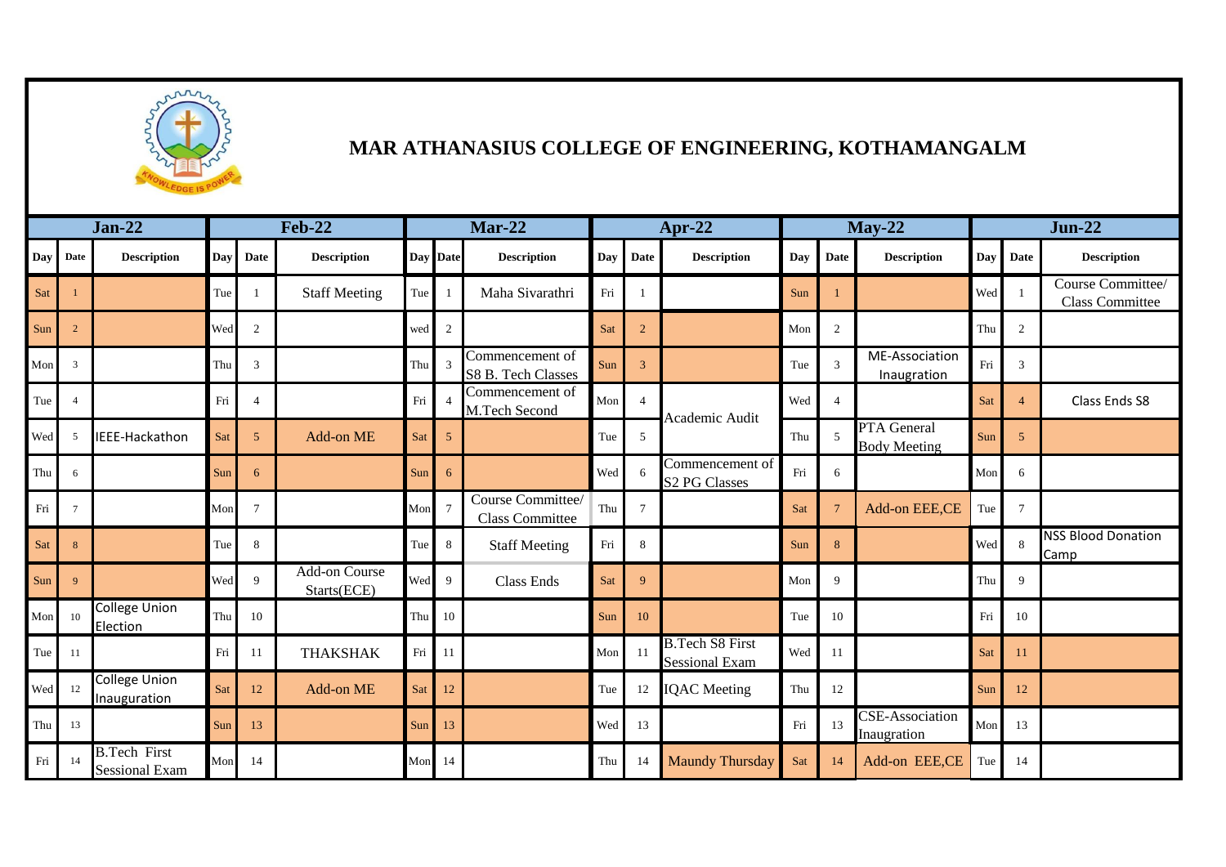

## **MAR ATHANASIUS COLLEGE OF ENGINEERING, KOTHAMANGALM**

| <b>Jan-22</b> |                | <b>Feb-22</b>                                |            |                          | <b>Mar-22</b>                       |     |                 |                                             |            | Apr-22         | $May-22$                                        |     |                |                                                     | $Jun-22$ |                             |                                             |
|---------------|----------------|----------------------------------------------|------------|--------------------------|-------------------------------------|-----|-----------------|---------------------------------------------|------------|----------------|-------------------------------------------------|-----|----------------|-----------------------------------------------------|----------|-----------------------------|---------------------------------------------|
| Day           | Date           | <b>Description</b>                           | <b>Day</b> | Date                     | <b>Description</b>                  |     | Day Date        | <b>Description</b>                          | <b>Day</b> | Date           | <b>Description</b>                              | Day | Date           | <b>Description</b>                                  | Day      | <b>Date</b>                 | <b>Description</b>                          |
| Sat           |                |                                              | Tue        |                          | <b>Staff Meeting</b>                | Tue | $\overline{1}$  | Maha Sivarathri                             | Fri        |                |                                                 | Sun |                |                                                     | Wed      |                             | Course Committee/<br><b>Class Committee</b> |
| Sun           | $\overline{2}$ |                                              | Wed        | $\overline{2}$           |                                     | wed | $\overline{c}$  |                                             | Sat        | $\overline{2}$ |                                                 | Mon | 2              |                                                     | Thu      | $\boldsymbol{2}$            |                                             |
| Mon           | 3              |                                              | Thu        | 3                        |                                     | Thu | $\overline{3}$  | Commencement of<br>S8 B. Tech Classes       | Sun        | 3              |                                                 | Tue | $\overline{3}$ | <b>ME-Association</b><br>Inaugration                | Fri      | $\ensuremath{\mathfrak{Z}}$ |                                             |
| Tue           | $\overline{4}$ |                                              | Fri        | $\overline{\mathcal{A}}$ |                                     | Fri |                 | Commencement of<br>M.Tech Second            | Mon        | $\overline{4}$ | Academic Audit                                  | Wed | $\overline{4}$ |                                                     | Sat      | $\overline{4}$              | Class Ends S8                               |
| Wed           | 5              | IEEE-Hackathon                               | Sat        | 5 <sup>5</sup>           | Add-on ME                           | Sat | 5               |                                             | Tue        | 5              |                                                 | Thu | 5              | PTA General<br><b>Body Meeting</b>                  | Sun      | 5                           |                                             |
| Thu           | 6              |                                              | Sun        | 6                        |                                     | Sun | 6               |                                             | Wed        |                | Commencement of<br><b>S2 PG Classes</b>         | Fri | 6              |                                                     | Mon      | 6                           |                                             |
| Fri           | $\overline{7}$ |                                              | Mon        | $\tau$                   |                                     | Mon | $7\phantom{.0}$ | Course Committee/<br><b>Class Committee</b> | Thu        | $\overline{7}$ |                                                 | Sat | $\overline{7}$ | Add-on EEE,CE                                       | Tue      | $7\phantom{.0}$             |                                             |
| Sat           | 8              |                                              | Tue        | 8                        |                                     | Tue | 8               | <b>Staff Meeting</b>                        | Fri        | 8              |                                                 | Sun | 8              |                                                     | Wed      | 8                           | <b>NSS Blood Donation</b><br>Camp           |
| Sun           | $\mathbf{q}$   |                                              | Wed        | $\mathbf Q$              | <b>Add-on Course</b><br>Starts(ECE) | Wed | 9               | Class Ends                                  | Sat        | 9              |                                                 | Mon | 9              |                                                     | Thu      | 9                           |                                             |
| Mon           | 10             | College Union<br>Election                    | Thu        | 10                       |                                     | Thu | 10              |                                             | Sun        | 10             |                                                 | Tue | 10             |                                                     | Fri      | 10                          |                                             |
| Tue           | -11            |                                              | Fri        | 11                       | <b>THAKSHAK</b>                     | Fri | 11              |                                             | Mon        | 11             | <b>B.Tech S8 First</b><br><b>Sessional Exam</b> | Wed | 11             |                                                     | Sat      | 11                          |                                             |
| Wed           | 12             | College Union<br>Inauguration                | Sat        | 12                       | Add-on ME                           | Sat | 12              |                                             | Tue        | 12             | <b>IQAC</b> Meeting                             | Thu | 12             |                                                     | Sun      | 12                          |                                             |
| Thu           | 13             |                                              | Sun        | 13                       |                                     | Sun | 13              |                                             | Wed        | 13             |                                                 | Fri | 13             | $\overline{\text{CSE}}$ -Association<br>Inaugration | Mon      | 13                          |                                             |
| Fri           | -14            | <b>B.Tech First</b><br><b>Sessional Exam</b> | Mon        | 14                       |                                     | Mon | 14              |                                             | Thu        | 14             | <b>Maundy Thursday</b>                          | Sat | 14             | Add-on EEE,CE                                       | Tue      | 14                          |                                             |